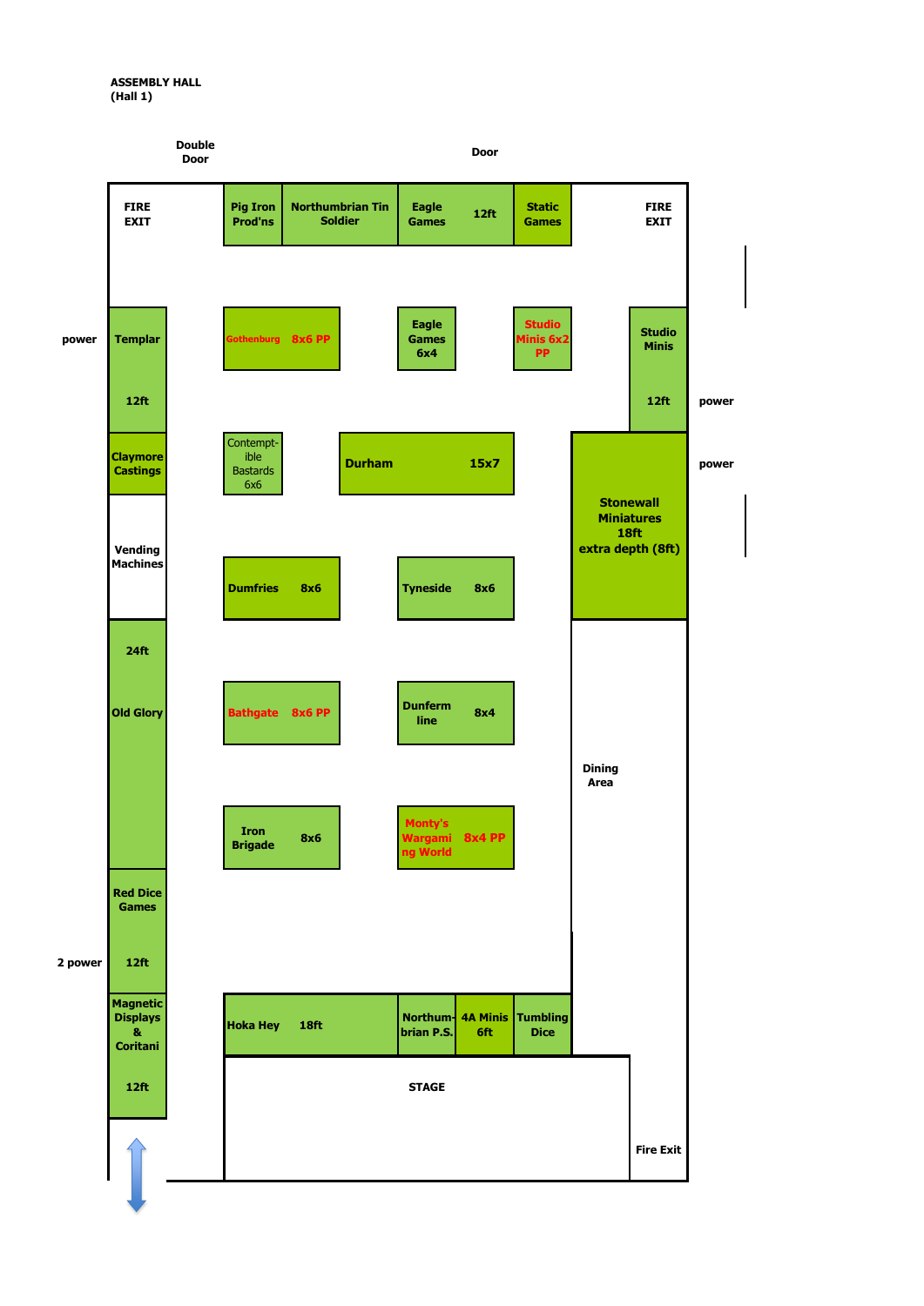

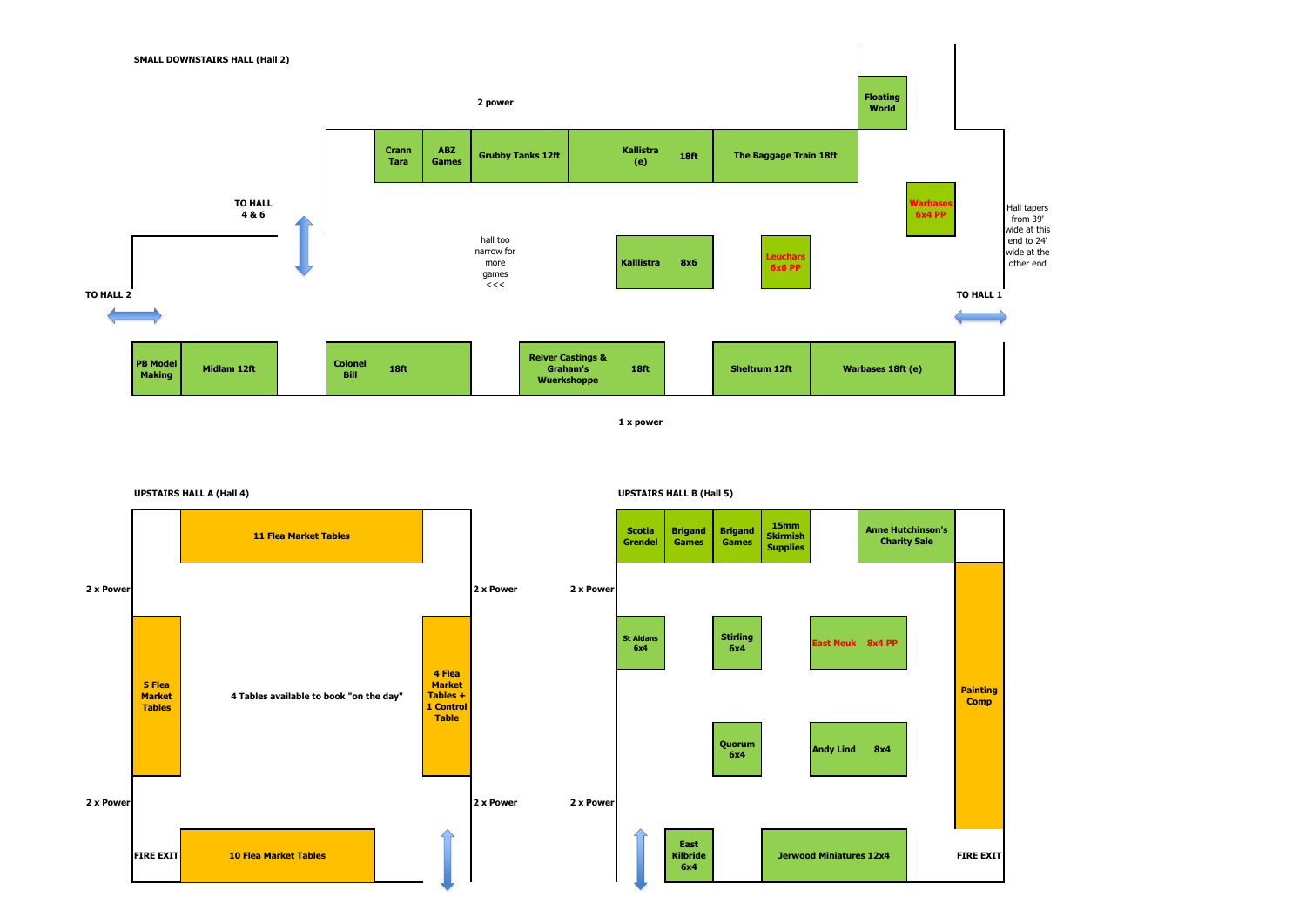**1 x power**



**UPSTAIRS HALL A (Hall 4) UPSTAIRS HALL B (Hall 5)**

![](_page_1_Figure_3.jpeg)

![](_page_1_Figure_6.jpeg)